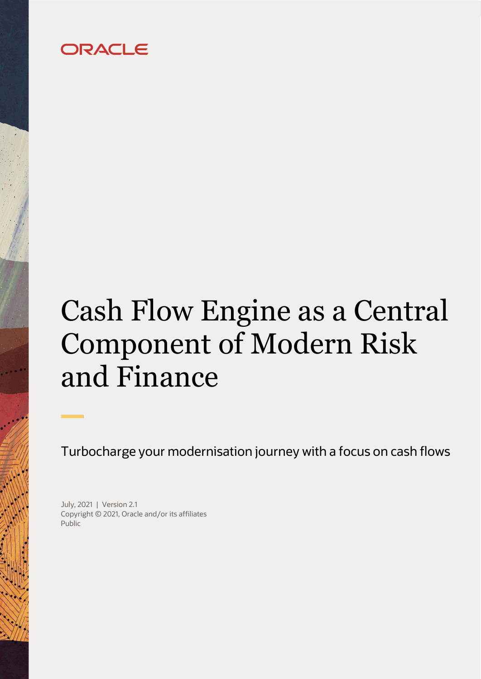# ORACLE

# Cash Flow Engine as a Central Component of Modern Risk and Finance

Turbocharge your modernisation journey with a focus on cash flows

July, 2021 | Version 2.1 Copyright © 2021, Oracle and/or its affiliates Public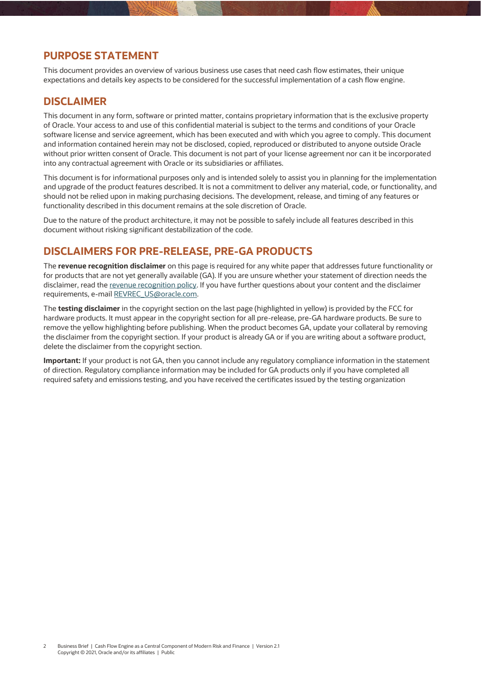#### <span id="page-1-0"></span>**PURPOSE STATEMENT**

This document provides an overview of various business use cases that need cash flow estimates, their unique expectations and details key aspects to be considered for the successful implementation of a cash flow engine.

#### <span id="page-1-1"></span>**DISCLAIMER**

This document in any form, software or printed matter, contains proprietary information that is the exclusive property of Oracle. Your access to and use of this confidential material is subject to the terms and conditions of your Oracle software license and service agreement, which has been executed and with which you agree to comply. This document and information contained herein may not be disclosed, copied, reproduced or distributed to anyone outside Oracle without prior written consent of Oracle. This document is not part of your license agreement nor can it be incorporated into any contractual agreement with Oracle or its subsidiaries or affiliates.

This document is for informational purposes only and is intended solely to assist you in planning for the implementation and upgrade of the product features described. It is not a commitment to deliver any material, code, or functionality, and should not be relied upon in making purchasing decisions. The development, release, and timing of any features or functionality described in this document remains at the sole discretion of Oracle.

Due to the nature of the product architecture, it may not be possible to safely include all features described in this document without risking significant destabilization of the code.

#### <span id="page-1-2"></span>**DISCLAIMERS FOR PRE-RELEASE, PRE-GA PRODUCTS**

The **revenue recognition disclaimer** on this page is required for any white paper that addresses future functionality or for products that are not yet generally available (GA). If you are unsure whether your statement of direction needs the disclaimer, read th[e revenue recognition policy.](https://stbeehive.oracle.com/content/dav/st/GDMI/Public/REFG-P06.htm) If you have further questions about your content and the disclaimer requirements, e-mail [REVREC\\_US@oracle.com.](http://REVREC_US@oracle.com)

The **testing disclaimer** in the copyright section on the last page (highlighted in yellow) is provided by the FCC for hardware products. It must appear in the copyright section for all pre-release, pre-GA hardware products. Be sure to remove the yellow highlighting before publishing. When the product becomes GA, update your collateral by removing the disclaimer from the copyright section. If your product is already GA or if you are writing about a software product, delete the disclaimer from the copyright section.

**Important:** If your product is not GA, then you cannot include any regulatory compliance information in the statement of direction. Regulatory compliance information may be included for GA products only if you have completed all required safety and emissions testing, and you have received the certificates issued by the testing organization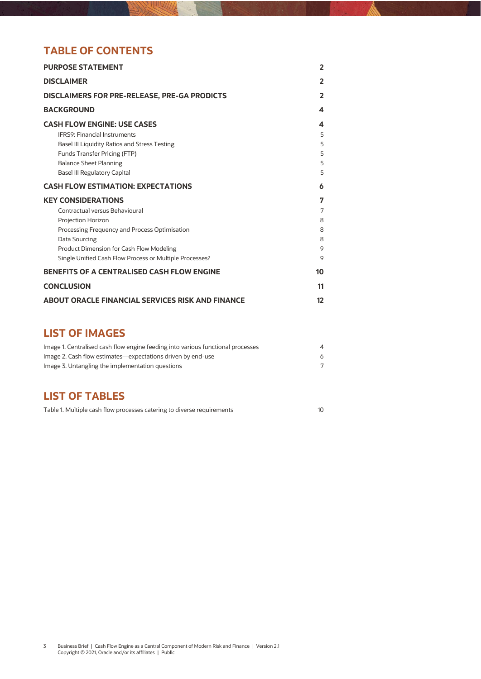# **TABLE OF CONTENTS**

| <b>PURPOSE STATEMENT</b>                                |                          |  |  |
|---------------------------------------------------------|--------------------------|--|--|
| <b>DISCLAIMER</b>                                       | $\overline{\phantom{a}}$ |  |  |
| <b>DISCLAIMERS FOR PRE-RELEASE, PRE-GA PRODICTS</b>     | 2                        |  |  |
| <b>BACKGROUND</b>                                       | 4                        |  |  |
| <b>CASH FLOW ENGINE: USE CASES</b>                      | 4                        |  |  |
| <b>IFRS9: Financial Instruments</b>                     | 5                        |  |  |
| Basel III Liquidity Ratios and Stress Testing           | 5                        |  |  |
| Funds Transfer Pricing (FTP)                            | 5                        |  |  |
| <b>Balance Sheet Planning</b>                           | 5                        |  |  |
| <b>Basel III Regulatory Capital</b>                     | 5                        |  |  |
| <b>CASH FLOW ESTIMATION: EXPECTATIONS</b>               | 6                        |  |  |
| <b>KEY CONSIDERATIONS</b>                               | 7                        |  |  |
| Contractual versus Behavioural                          | 7                        |  |  |
| Projection Horizon                                      | 8                        |  |  |
| Processing Frequency and Process Optimisation           | 8                        |  |  |
| Data Sourcing                                           | 8                        |  |  |
| Product Dimension for Cash Flow Modeling                | 9                        |  |  |
| Single Unified Cash Flow Process or Multiple Processes? | 9                        |  |  |
| <b>BENEFITS OF A CENTRALISED CASH FLOW ENGINE</b>       | 10                       |  |  |
| <b>CONCLUSION</b>                                       | 11                       |  |  |
| <b>ABOUT ORACLE FINANCIAL SERVICES RISK AND FINANCE</b> | 12                       |  |  |

### **LIST OF IMAGES**

| Image 1. Centralised cash flow engine feeding into various functional processes | 4 |
|---------------------------------------------------------------------------------|---|
| Image 2. Cash flow estimates—expectations driven by end-use                     |   |
| Image 3. Untangling the implementation questions                                |   |

# **LIST OF TABLES**

| Table 1. Multiple cash flow processes catering to diverse requirements |  |
|------------------------------------------------------------------------|--|
|------------------------------------------------------------------------|--|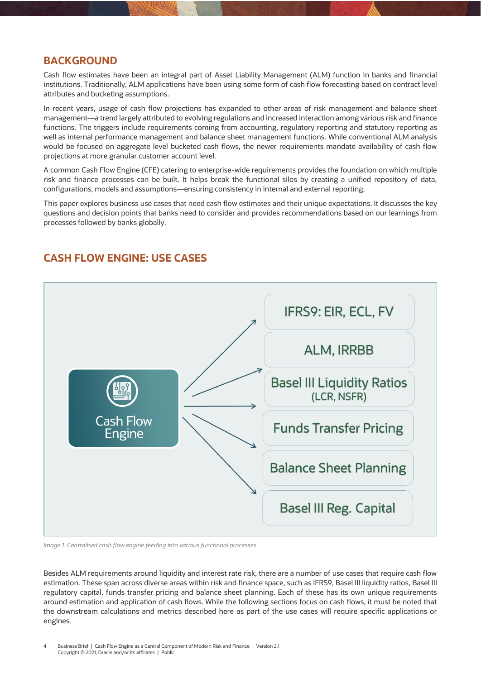#### <span id="page-3-0"></span>**BACKGROUND**

Cash flow estimates have been an integral part of Asset Liability Management (ALM) function in banks and financial institutions. Traditionally, ALM applications have been using some form of cash flow forecasting based on contract level attributes and bucketing assumptions.

In recent years, usage of cash flow projections has expanded to other areas of risk management and balance sheet management—a trend largely attributed to evolving regulations and increased interaction among various risk and finance functions. The triggers include requirements coming from accounting, regulatory reporting and statutory reporting as well as internal performance management and balance sheet management functions. While conventional ALM analysis would be focused on aggregate level bucketed cash flows, the newer requirements mandate availability of cash flow projections at more granular customer account level.

A common Cash Flow Engine (CFE) catering to enterprise-wide requirements provides the foundation on which multiple risk and finance processes can be built. It helps break the functional silos by creating a unified repository of data, configurations, models and assumptions—ensuring consistency in internal and external reporting.

This paper explores business use cases that need cash flow estimates and their unique expectations. It discusses the key questions and decision points that banks need to consider and provides recommendations based on our learnings from processes followed by banks globally.



### <span id="page-3-1"></span>**CASH FLOW ENGINE: USE CASES**

<span id="page-3-2"></span>*Image 1. Centralised cash flow engine feeding into various functional processes*

Besides ALM requirements around liquidity and interest rate risk, there are a number of use cases that require cash flow estimation. These span across diverse areas within risk and finance space, such as IFRS9, Basel III liquidity ratios, Basel III regulatory capital, funds transfer pricing and balance sheet planning. Each of these has its own unique requirements around estimation and application of cash flows. While the following sections focus on cash flows, it must be noted that the downstream calculations and metrics described here as part of the use cases will require specific applications or engines.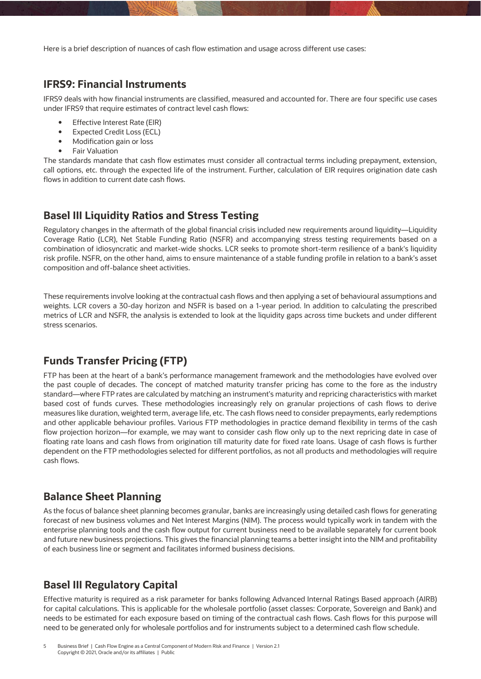Here is a brief description of nuances of cash flow estimation and usage across different use cases:

#### <span id="page-4-0"></span>**IFRS9: Financial Instruments**

IFRS9 deals with how financial instruments are classified, measured and accounted for. There are four specific use cases under IFRS9 that require estimates of contract level cash flows:

- Effective Interest Rate (EIR)
- Expected Credit Loss (ECL)
- Modification gain or loss
- Fair Valuation

The standards mandate that cash flow estimates must consider all contractual terms including prepayment, extension, call options, etc. through the expected life of the instrument. Further, calculation of EIR requires origination date cash flows in addition to current date cash flows.

#### <span id="page-4-1"></span>**Basel III Liquidity Ratios and Stress Testing**

Regulatory changes in the aftermath of the global financial crisis included new requirements around liquidity—Liquidity Coverage Ratio (LCR), Net Stable Funding Ratio (NSFR) and accompanying stress testing requirements based on a combination of idiosyncratic and market-wide shocks. LCR seeks to promote short-term resilience of a bank's liquidity risk profile. NSFR, on the other hand, aims to ensure maintenance of a stable funding profile in relation to a bank's asset composition and off-balance sheet activities.

These requirements involve looking at the contractual cash flows and then applying a set of behavioural assumptions and weights. LCR covers a 30-day horizon and NSFR is based on a 1-year period. In addition to calculating the prescribed metrics of LCR and NSFR, the analysis is extended to look at the liquidity gaps across time buckets and under different stress scenarios.

#### <span id="page-4-2"></span>**Funds Transfer Pricing (FTP)**

FTP has been at the heart of a bank's performance management framework and the methodologies have evolved over the past couple of decades. The concept of matched maturity transfer pricing has come to the fore as the industry standard—where FTP rates are calculated by matching an instrument's maturity and repricing characteristics with market based cost of funds curves. These methodologies increasingly rely on granular projections of cash flows to derive measures like duration, weighted term, average life, etc. The cash flows need to consider prepayments, early redemptions and other applicable behaviour profiles. Various FTP methodologies in practice demand flexibility in terms of the cash flow projection horizon—for example, we may want to consider cash flow only up to the next repricing date in case of floating rate loans and cash flows from origination till maturity date for fixed rate loans. Usage of cash flows is further dependent on the FTP methodologies selected for different portfolios, as not all products and methodologies will require cash flows.

#### <span id="page-4-3"></span>**Balance Sheet Planning**

As the focus of balance sheet planning becomes granular, banks are increasingly using detailed cash flows for generating forecast of new business volumes and Net Interest Margins (NIM). The process would typically work in tandem with the enterprise planning tools and the cash flow output for current business need to be available separately for current book and future new business projections. This gives the financial planning teams a better insight into the NIM and profitability of each business line or segment and facilitates informed business decisions.

#### <span id="page-4-4"></span>**Basel III Regulatory Capital**

Effective maturity is required as a risk parameter for banks following Advanced Internal Ratings Based approach (AIRB) for capital calculations. This is applicable for the wholesale portfolio (asset classes: Corporate, Sovereign and Bank) and needs to be estimated for each exposure based on timing of the contractual cash flows. Cash flows for this purpose will need to be generated only for wholesale portfolios and for instruments subject to a determined cash flow schedule.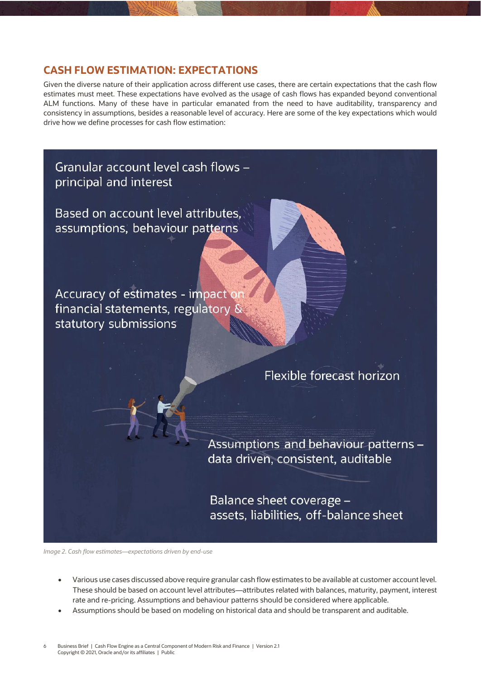#### <span id="page-5-0"></span>**CASH FLOW ESTIMATION: EXPECTATIONS**

Given the diverse nature of their application across different use cases, there are certain expectations that the cash flow estimates must meet. These expectations have evolved as the usage of cash flows has expanded beyond conventional ALM functions. Many of these have in particular emanated from the need to have auditability, transparency and consistency in assumptions, besides a reasonable level of accuracy. Here are some of the key expectations which would drive how we define processes for cash flow estimation:

Granular account level cash flows principal and interest

Based on account level attributes. assumptions, behaviour patterns

Accuracy of estimates - impact o financial statements, regulatory statutory submissions

# Flexible forecast horizon

Assumptions and behaviour patterns data driven, consistent, auditable

Balance sheet coverage assets, liabilities, off-balance sheet

<span id="page-5-1"></span>*Image 2. Cash flow estimates—expectations driven by end-use*

- Various use cases discussed above require granular cash flow estimates to be available at customer account level. These should be based on account level attributes—attributes related with balances, maturity, payment, interest rate and re-pricing. Assumptions and behaviour patterns should be considered where applicable.
- Assumptions should be based on modeling on historical data and should be transparent and auditable.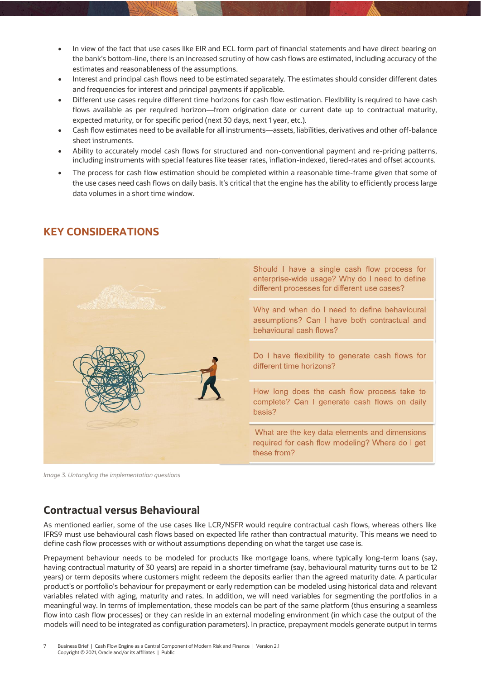- In view of the fact that use cases like EIR and ECL form part of financial statements and have direct bearing on the bank's bottom-line, there is an increased scrutiny of how cash flows are estimated, including accuracy of the estimates and reasonableness of the assumptions.
- Interest and principal cash flows need to be estimated separately. The estimates should consider different dates and frequencies for interest and principal payments if applicable.
- Different use cases require different time horizons for cash flow estimation. Flexibility is required to have cash flows available as per required horizon—from origination date or current date up to contractual maturity, expected maturity, or for specific period (next 30 days, next 1 year, etc.).
- Cash flow estimates need to be available for all instruments—assets, liabilities, derivatives and other off-balance sheet instruments.
- Ability to accurately model cash flows for structured and non-conventional payment and re-pricing patterns, including instruments with special features like teaser rates, inflation-indexed, tiered-rates and offset accounts.
- The process for cash flow estimation should be completed within a reasonable time-frame given that some of the use cases need cash flows on daily basis. It's critical that the engine has the ability to efficiently process large data volumes in a short time window.



#### <span id="page-6-0"></span>**KEY CONSIDERATIONS**

<span id="page-6-2"></span>*Image 3. Untangling the implementation questions*

#### <span id="page-6-1"></span>**Contractual versus Behavioural**

As mentioned earlier, some of the use cases like LCR/NSFR would require contractual cash flows, whereas others like IFRS9 must use behavioural cash flows based on expected life rather than contractual maturity. This means we need to define cash flow processes with or without assumptions depending on what the target use case is.

Prepayment behaviour needs to be modeled for products like mortgage loans, where typically long-term loans (say, having contractual maturity of 30 years) are repaid in a shorter timeframe (say, behavioural maturity turns out to be 12 years) or term deposits where customers might redeem the deposits earlier than the agreed maturity date. A particular product's or portfolio's behaviour for prepayment or early redemption can be modeled using historical data and relevant variables related with aging, maturity and rates. In addition, we will need variables for segmenting the portfolios in a meaningful way. In terms of implementation, these models can be part of the same platform (thus ensuring a seamless flow into cash flow processes) or they can reside in an external modeling environment (in which case the output of the models will need to be integrated as configuration parameters). In practice, prepayment models generate output in terms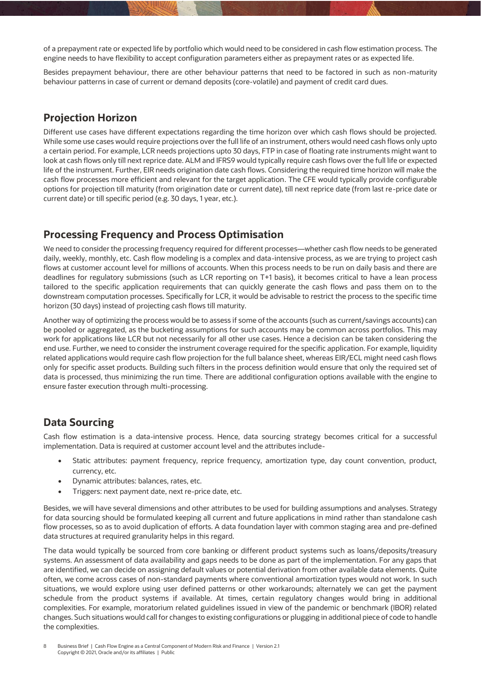of a prepayment rate or expected life by portfolio which would need to be considered in cash flow estimation process. The engine needs to have flexibility to accept configuration parameters either as prepayment rates or as expected life.

Besides prepayment behaviour, there are other behaviour patterns that need to be factored in such as non-maturity behaviour patterns in case of current or demand deposits (core-volatile) and payment of credit card dues.

#### <span id="page-7-0"></span>**Projection Horizon**

Different use cases have different expectations regarding the time horizon over which cash flows should be projected. While some use cases would require projections over the full life of an instrument, others would need cash flows only upto a certain period. For example, LCR needs projections upto 30 days, FTP in case of floating rate instruments might want to look at cash flows only till next reprice date. ALM and IFRS9 would typically require cash flows over the full life or expected life of the instrument. Further, EIR needs origination date cash flows. Considering the required time horizon will make the cash flow processes more efficient and relevant for the target application. The CFE would typically provide configurable options for projection till maturity (from origination date or current date), till next reprice date (from last re-price date or current date) or till specific period (e.g. 30 days, 1 year, etc.).

#### <span id="page-7-1"></span>**Processing Frequency and Process Optimisation**

We need to consider the processing frequency required for different processes—whether cash flow needs to be generated daily, weekly, monthly, etc. Cash flow modeling is a complex and data-intensive process, as we are trying to project cash flows at customer account level for millions of accounts. When this process needs to be run on daily basis and there are deadlines for regulatory submissions (such as LCR reporting on T+1 basis), it becomes critical to have a lean process tailored to the specific application requirements that can quickly generate the cash flows and pass them on to the downstream computation processes. Specifically for LCR, it would be advisable to restrict the process to the specific time horizon (30 days) instead of projecting cash flows till maturity.

Another way of optimizing the process would be to assess if some of the accounts (such as current/savings accounts) can be pooled or aggregated, as the bucketing assumptions for such accounts may be common across portfolios. This may work for applications like LCR but not necessarily for all other use cases. Hence a decision can be taken considering the end use. Further, we need to consider the instrument coverage required for the specific application. For example, liquidity related applications would require cash flow projection for the full balance sheet, whereas EIR/ECL might need cash flows only for specific asset products. Building such filters in the process definition would ensure that only the required set of data is processed, thus minimizing the run time. There are additional configuration options available with the engine to ensure faster execution through multi-processing.

### <span id="page-7-2"></span>**Data Sourcing**

Cash flow estimation is a data-intensive process. Hence, data sourcing strategy becomes critical for a successful implementation. Data is required at customer account level and the attributes include-

- Static attributes: payment frequency, reprice frequency, amortization type, day count convention, product, currency, etc.
- Dynamic attributes: balances, rates, etc.
- Triggers: next payment date, next re-price date, etc.

Besides, we will have several dimensions and other attributes to be used for building assumptions and analyses. Strategy for data sourcing should be formulated keeping all current and future applications in mind rather than standalone cash flow processes, so as to avoid duplication of efforts. A data foundation layer with common staging area and pre-defined data structures at required granularity helps in this regard.

The data would typically be sourced from core banking or different product systems such as loans/deposits/treasury systems. An assessment of data availability and gaps needs to be done as part of the implementation. For any gaps that are identified, we can decide on assigning default values or potential derivation from other available data elements. Quite often, we come across cases of non-standard payments where conventional amortization types would not work. In such situations, we would explore using user defined patterns or other workarounds; alternately we can get the payment schedule from the product systems if available. At times, certain regulatory changes would bring in additional complexities. For example, moratorium related guidelines issued in view of the pandemic or benchmark (IBOR) related changes. Such situations would call for changes to existing configurations or plugging in additional piece of code to handle the complexities.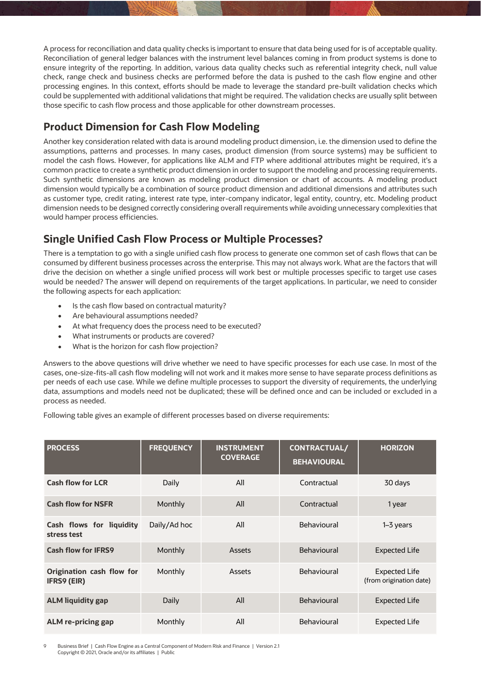A process for reconciliation and data quality checks is important to ensure that data being used for is of acceptable quality. Reconciliation of general ledger balances with the instrument level balances coming in from product systems is done to ensure integrity of the reporting. In addition, various data quality checks such as referential integrity check, null value check, range check and business checks are performed before the data is pushed to the cash flow engine and other processing engines. In this context, efforts should be made to leverage the standard pre-built validation checks which could be supplemented with additional validations that might be required. The validation checks are usually split between those specific to cash flow process and those applicable for other downstream processes.

# <span id="page-8-0"></span>**Product Dimension for Cash Flow Modeling**

Another key consideration related with data is around modeling product dimension, i.e. the dimension used to define the assumptions, patterns and processes. In many cases, product dimension (from source systems) may be sufficient to model the cash flows. However, for applications like ALM and FTP where additional attributes might be required, it's a common practice to create a synthetic product dimension in order to support the modeling and processing requirements. Such synthetic dimensions are known as modeling product dimension or chart of accounts. A modeling product dimension would typically be a combination of source product dimension and additional dimensions and attributes such as customer type, credit rating, interest rate type, inter-company indicator, legal entity, country, etc. Modeling product dimension needs to be designed correctly considering overall requirements while avoiding unnecessary complexities that would hamper process efficiencies.

### <span id="page-8-1"></span>**Single Unified Cash Flow Process or Multiple Processes?**

There is a temptation to go with a single unified cash flow process to generate one common set of cash flows that can be consumed by different business processes across the enterprise. This may not always work. What are the factors that will drive the decision on whether a single unified process will work best or multiple processes specific to target use cases would be needed? The answer will depend on requirements of the target applications. In particular, we need to consider the following aspects for each application:

- Is the cash flow based on contractual maturity?
- Are behavioural assumptions needed?
- At what frequency does the process need to be executed?
- What instruments or products are covered?
- What is the horizon for cash flow projection?

Answers to the above questions will drive whether we need to have specific processes for each use case. In most of the cases, one-size-fits-all cash flow modeling will not work and it makes more sense to have separate process definitions as per needs of each use case. While we define multiple processes to support the diversity of requirements, the underlying data, assumptions and models need not be duplicated; these will be defined once and can be included or excluded in a process as needed.

Following table gives an example of different processes based on diverse requirements:

| <b>PROCESS</b>                                  | <b>FREQUENCY</b> | <b>INSTRUMENT</b><br><b>COVERAGE</b> | <b>CONTRACTUAL/</b><br><b>BEHAVIOURAL</b> | <b>HORIZON</b>                                  |
|-------------------------------------------------|------------------|--------------------------------------|-------------------------------------------|-------------------------------------------------|
| <b>Cash flow for LCR</b>                        | Daily            | All                                  | Contractual                               | 30 days                                         |
| <b>Cash flow for NSFR</b>                       | Monthly          | All                                  | Contractual                               | 1 year                                          |
| Cash flows for liquidity<br>stress test         | Daily/Ad hoc     | All                                  | Behavioural                               | 1-3 years                                       |
| <b>Cash flow for IFRS9</b>                      | Monthly          | <b>Assets</b>                        | Behavioural                               | <b>Expected Life</b>                            |
| Origination cash flow for<br><b>IFRS9 (EIR)</b> | Monthly          | Assets                               | Behavioural                               | <b>Expected Life</b><br>(from origination date) |
| <b>ALM liquidity gap</b>                        | Daily            | All                                  | Behavioural                               | <b>Expected Life</b>                            |
| ALM re-pricing gap                              | Monthly          | All                                  | Behavioural                               | Expected Life                                   |

9 Business Brief | Cash Flow Engine as a Central Component of Modern Risk and Finance | Version 2.1 Copyright © 2021, Oracle and/or its affiliates | Public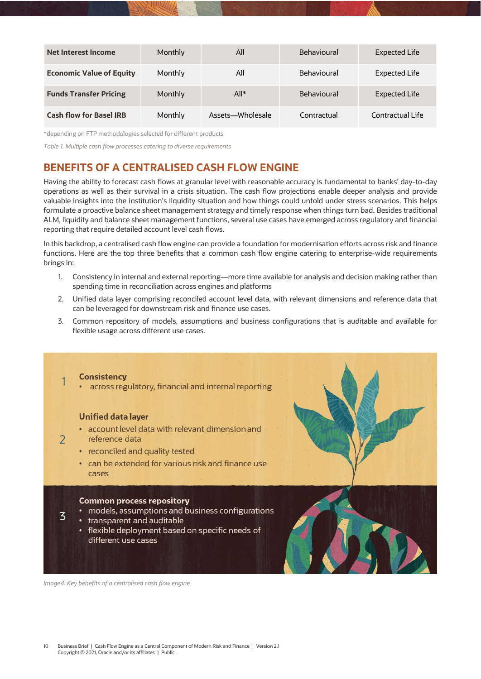| Net Interest Income             | <b>Monthly</b> | All              | Behavioural        | <b>Expected Life</b> |
|---------------------------------|----------------|------------------|--------------------|----------------------|
| <b>Economic Value of Equity</b> | Monthly        | All              | Behavioural        | Expected Life        |
| <b>Funds Transfer Pricing</b>   | <b>Monthly</b> | $All*$           | <b>Behavioural</b> | <b>Expected Life</b> |
| <b>Cash flow for Basel IRB</b>  | Monthly        | Assets-Wholesale | Contractual        | Contractual Life     |

\*depending on FTP methodologies selected for different products

<span id="page-9-2"></span>*Table 1. Multiple cash flow processes catering to diverse requirements*

# <span id="page-9-0"></span>**BENEFITS OF A CENTRALISED CASH FLOW ENGINE**

Having the ability to forecast cash flows at granular level with reasonable accuracy is fundamental to banks' day-to-day operations as well as their survival in a crisis situation. The cash flow projections enable deeper analysis and provide valuable insights into the institution's liquidity situation and how things could unfold under stress scenarios. This helps formulate a proactive balance sheet management strategy and timely response when things turn bad. Besides traditional ALM, liquidity and balance sheet management functions, several use cases have emerged across regulatory and financial reporting that require detailed account level cash flows.

In this backdrop, a centralised cash flow engine can provide a foundation for modernisation efforts across risk and finance functions. Here are the top three benefits that a common cash flow engine catering to enterprise-wide requirements brings in:

- 1. Consistency in internal and external reporting—more time available for analysis and decision making rather than spending time in reconciliation across engines and platforms
- 2. Unified data layer comprising reconciled account level data, with relevant dimensions and reference data that can be leveraged for downstream risk and finance use cases.
- 3. Common repository of models, assumptions and business configurations that is auditable and available for flexible usage across different use cases.

<span id="page-9-1"></span>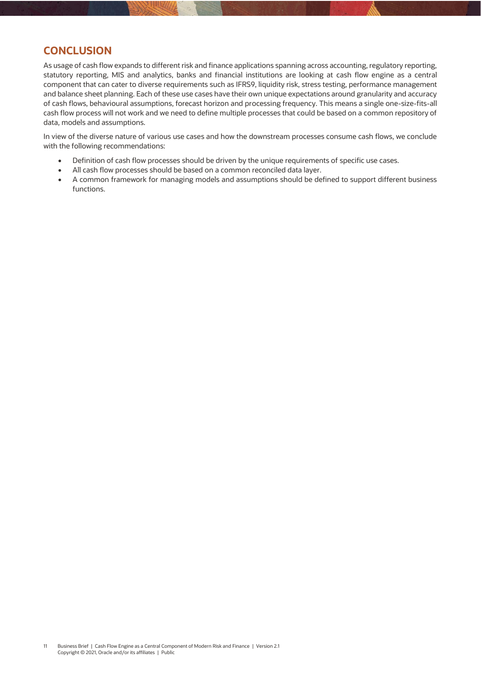#### **CONCLUSION**

As usage of cash flow expands to different risk and finance applications spanning across accounting, regulatory reporting, statutory reporting, MIS and analytics, banks and financial institutions are looking at cash flow engine as a central component that can cater to diverse requirements such as IFRS9, liquidity risk, stress testing, performance management and balance sheet planning. Each of these use cases have their own unique expectations around granularity and accuracy of cash flows, behavioural assumptions, forecast horizon and processing frequency. This means a single one-size-fits-all cash flow process will not work and we need to define multiple processes that could be based on a common repository of data, models and assumptions.

In view of the diverse nature of various use cases and how the downstream processes consume cash flows, we conclude with the following recommendations:

- Definition of cash flow processes should be driven by the unique requirements of specific use cases.
- All cash flow processes should be based on a common reconciled data layer.
- A common framework for managing models and assumptions should be defined to support different business functions.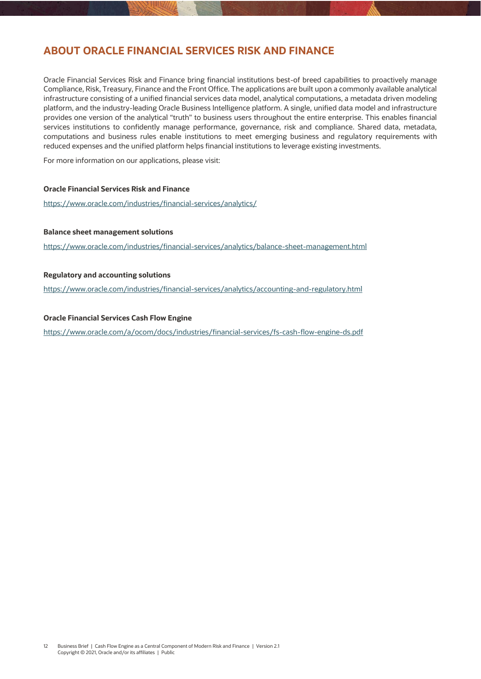#### <span id="page-11-0"></span>**ABOUT ORACLE FINANCIAL SERVICES RISK AND FINANCE**

Oracle Financial Services Risk and Finance bring financial institutions best-of breed capabilities to proactively manage Compliance, Risk, Treasury, Finance and the Front Office. The applications are built upon a commonly available analytical infrastructure consisting of a unified financial services data model, analytical computations, a metadata driven modeling platform, and the industry-leading Oracle Business Intelligence platform. A single, unified data model and infrastructure provides one version of the analytical "truth" to business users throughout the entire enterprise. This enables financial services institutions to confidently manage performance, governance, risk and compliance. Shared data, metadata, computations and business rules enable institutions to meet emerging business and regulatory requirements with reduced expenses and the unified platform helps financial institutions to leverage existing investments.

For more information on our applications, please visit:

#### **Oracle Financial Services Risk and Finance**

<https://www.oracle.com/industries/financial-services/analytics/>

#### **Balance sheet management solutions**

<https://www.oracle.com/industries/financial-services/analytics/balance-sheet-management.html>

#### **Regulatory and accounting solutions**

<https://www.oracle.com/industries/financial-services/analytics/accounting-and-regulatory.html>

#### **Oracle Financial Services Cash Flow Engine**

<https://www.oracle.com/a/ocom/docs/industries/financial-services/fs-cash-flow-engine-ds.pdf>